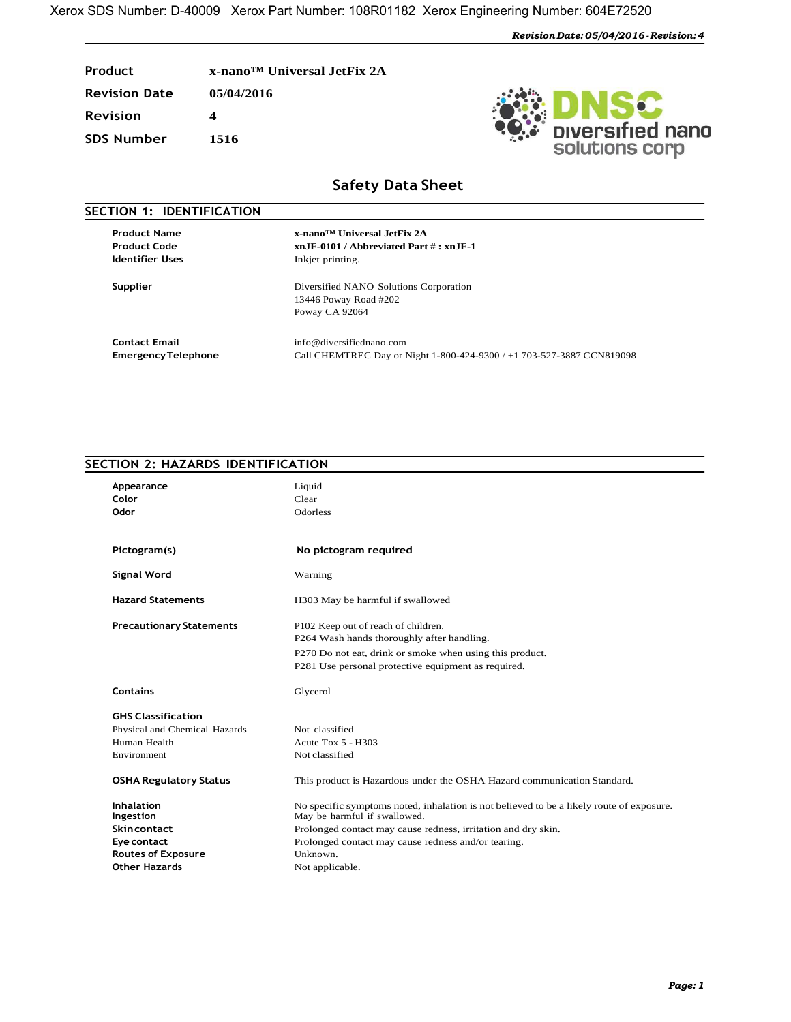| Product              | x-nano <sup>™</sup> Universal JetFix 2A |
|----------------------|-----------------------------------------|
| <b>Revision Date</b> | 05/04/2016                              |
| <b>Revision</b>      |                                         |
| <b>SDS Number</b>    | 1516                                    |



## **Safety Data Sheet**

| SECTION 1: IDENTIFICATION                  |                                                                               |
|--------------------------------------------|-------------------------------------------------------------------------------|
| <b>Product Name</b><br><b>Product Code</b> | x-nano™ Universal JetFix 2A<br>$xn$ JF-0101 / Abbreviated Part $\# : xn$ JF-1 |
| <b>Identifier Uses</b>                     | Inkjet printing.                                                              |
| <b>Supplier</b>                            | Diversified NANO Solutions Corporation                                        |
|                                            | 13446 Poway Road #202                                                         |
|                                            | Poway CA 92064                                                                |
| <b>Contact Email</b>                       | info@diversifiednano.com                                                      |
| <b>Emergency Telephone</b>                 | Call CHEMTREC Day or Night 1-800-424-9300 / +1 703-527-3887 CCN819098         |

## **SECTION 2: HAZARDS IDENTIFICATION**

| Appearance<br>Color<br>Odor                                                                                              | Liquid<br>Clear<br>Odorless                                                                                                                                                                                                                                                     |
|--------------------------------------------------------------------------------------------------------------------------|---------------------------------------------------------------------------------------------------------------------------------------------------------------------------------------------------------------------------------------------------------------------------------|
| Pictogram(s)                                                                                                             | No pictogram required                                                                                                                                                                                                                                                           |
| <b>Signal Word</b>                                                                                                       | Warning                                                                                                                                                                                                                                                                         |
| <b>Hazard Statements</b>                                                                                                 | H303 May be harmful if swallowed                                                                                                                                                                                                                                                |
| <b>Precautionary Statements</b>                                                                                          | P102 Keep out of reach of children.<br>P264 Wash hands thoroughly after handling.<br>P270 Do not eat, drink or smoke when using this product.<br>P281 Use personal protective equipment as required.                                                                            |
| <b>Contains</b>                                                                                                          | Glycerol                                                                                                                                                                                                                                                                        |
| <b>GHS Classification</b>                                                                                                |                                                                                                                                                                                                                                                                                 |
| Physical and Chemical Hazards                                                                                            | Not classified                                                                                                                                                                                                                                                                  |
| Human Health                                                                                                             | Acute Tox $5 - H303$                                                                                                                                                                                                                                                            |
| Environment                                                                                                              | Not classified                                                                                                                                                                                                                                                                  |
| <b>OSHA Regulatory Status</b>                                                                                            | This product is Hazardous under the OSHA Hazard communication Standard.                                                                                                                                                                                                         |
| <b>Inhalation</b><br>Ingestion<br><b>Skincontact</b><br>Eye contact<br><b>Routes of Exposure</b><br><b>Other Hazards</b> | No specific symptoms noted, inhalation is not believed to be a likely route of exposure.<br>May be harmful if swallowed.<br>Prolonged contact may cause redness, irritation and dry skin.<br>Prolonged contact may cause redness and/or tearing.<br>Unknown.<br>Not applicable. |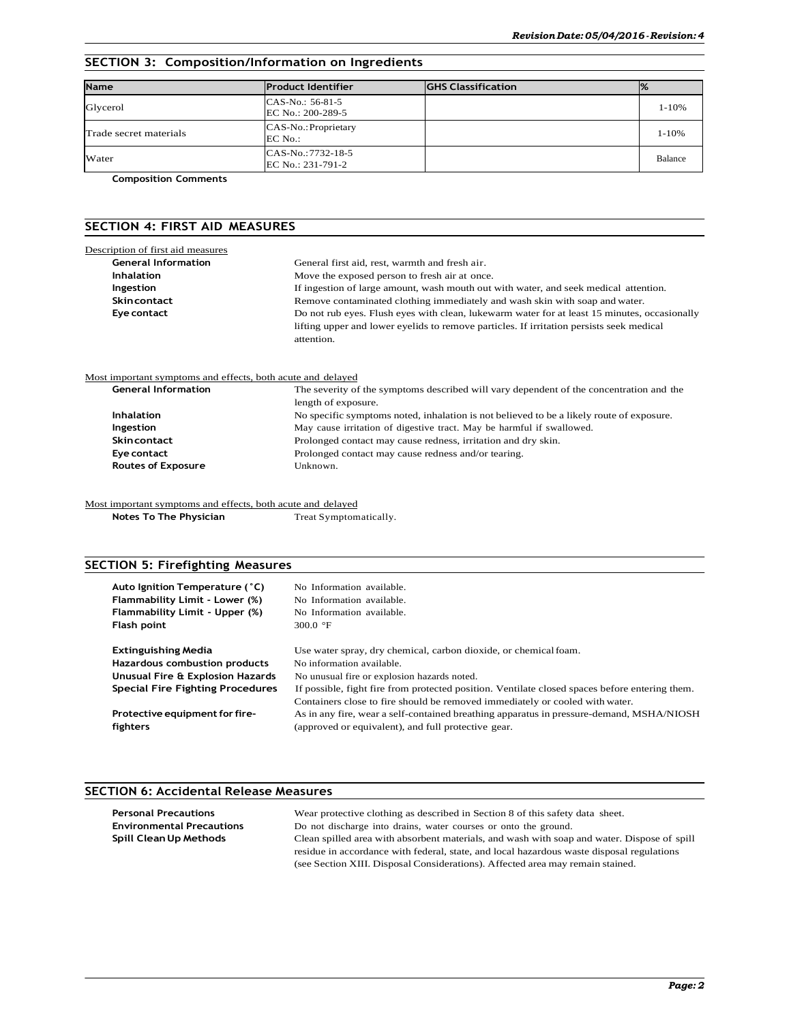### **SECTION 3: Composition/Information on Ingredients**

| <b>Name</b>            | <b>Product Identifier</b>                | <b>GHS Classification</b> | $\frac{1}{2}$ |
|------------------------|------------------------------------------|---------------------------|---------------|
| Glycerol               | CAS-No.: 56-81-5<br>EC No.: 200-289-5    |                           | $1 - 10%$     |
| Trade secret materials | CAS-No.: Proprietary<br>EC No.:          |                           | $1 - 10%$     |
| Water                  | $CAS-No.:7732-18-5$<br>EC No.: 231-791-2 |                           | Balance       |

**Composition Comments**

### **SECTION 4: FIRST AID MEASURES**

| Description of first aid measures                           |                                                                                              |  |  |  |
|-------------------------------------------------------------|----------------------------------------------------------------------------------------------|--|--|--|
| <b>General Information</b>                                  | General first aid, rest, warmth and fresh air.                                               |  |  |  |
| <b>Inhalation</b>                                           | Move the exposed person to fresh air at once.                                                |  |  |  |
| Ingestion                                                   | If ingestion of large amount, wash mouth out with water, and seek medical attention.         |  |  |  |
| <b>Skincontact</b>                                          | Remove contaminated clothing immediately and wash skin with soap and water.                  |  |  |  |
| Eye contact                                                 | Do not rub eyes. Flush eyes with clean, lukewarm water for at least 15 minutes, occasionally |  |  |  |
|                                                             | lifting upper and lower eyelids to remove particles. If irritation persists seek medical     |  |  |  |
|                                                             | attention.                                                                                   |  |  |  |
| Most important symptoms and effects, both acute and delayed |                                                                                              |  |  |  |
| <b>General Information</b>                                  | The severity of the symptoms described will vary dependent of the concentration and the      |  |  |  |
|                                                             | length of exposure.                                                                          |  |  |  |
| <b>Inhalation</b>                                           | No specific symptoms noted, inhalation is not believed to be a likely route of exposure.     |  |  |  |
| Ingestion                                                   | May cause irritation of digestive tract. May be harmful if swallowed.                        |  |  |  |
| <b>Skincontact</b>                                          | Prolonged contact may cause redness, irritation and dry skin.                                |  |  |  |
| Eye contact                                                 | Prolonged contact may cause redness and/or tearing.                                          |  |  |  |
| <b>Routes of Exposure</b>                                   | Unknown.                                                                                     |  |  |  |
|                                                             |                                                                                              |  |  |  |

Most important symptoms and effects, both acute and delayed

| Notes To The Physician | Treat Symptomatically. |
|------------------------|------------------------|
|------------------------|------------------------|

### **SECTION 5: Firefighting Measures**

| Auto Ignition Temperature (°C)   | No Information available.                                                                                                                                                      |
|----------------------------------|--------------------------------------------------------------------------------------------------------------------------------------------------------------------------------|
| Flammability Limit - Lower (%)   | No Information available.                                                                                                                                                      |
| Flammability Limit - Upper (%)   | No Information available.                                                                                                                                                      |
| Flash point                      | 300.0 $\degree$ F                                                                                                                                                              |
| <b>Extinguishing Media</b>       | Use water spray, dry chemical, carbon dioxide, or chemical foam.                                                                                                               |
| Hazardous combustion products    | No information available.                                                                                                                                                      |
| Unusual Fire & Explosion Hazards | No unusual fire or explosion hazards noted.                                                                                                                                    |
| Special Fire Fighting Procedures | If possible, fight fire from protected position. Ventilate closed spaces before entering them.<br>Containers close to fire should be removed immediately or cooled with water. |
| Protective equipment for fire-   | As in any fire, wear a self-contained breathing apparatus in pressure-demand, MSHA/NIOSH                                                                                       |
| fighters                         | (approved or equivalent), and full protective gear.                                                                                                                            |

### **SECTION 6: Accidental Release Measures**

| Wear protective clothing as described in Section 8 of this safety data sheet.               |
|---------------------------------------------------------------------------------------------|
| Do not discharge into drains, water courses or onto the ground.                             |
| Clean spilled area with absorbent materials, and wash with soap and water. Dispose of spill |
| residue in accordance with federal, state, and local hazardous waste disposal regulations   |
| (see Section XIII. Disposal Considerations). Affected area may remain stained.              |
|                                                                                             |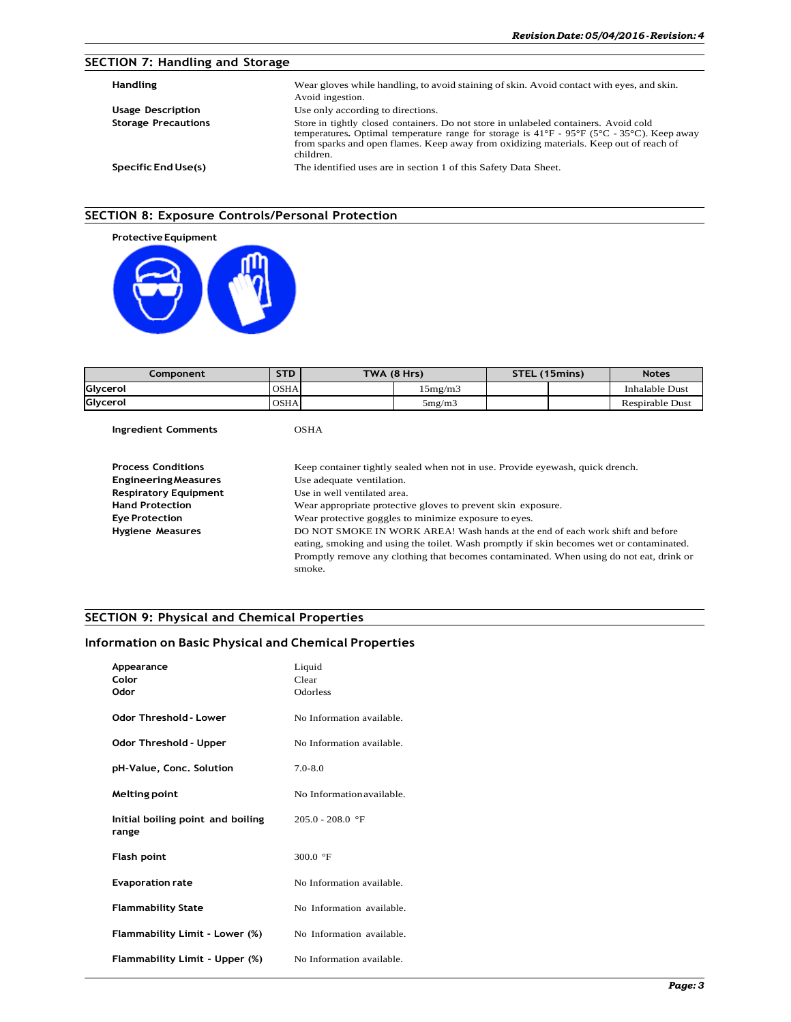### **SECTION 7: Handling and Storage**

| <b>Handling</b>            | Wear gloves while handling, to avoid staining of skin. Avoid contact with eyes, and skin.<br>Avoid ingestion.                                                                                                                                                                                                                      |
|----------------------------|------------------------------------------------------------------------------------------------------------------------------------------------------------------------------------------------------------------------------------------------------------------------------------------------------------------------------------|
| <b>Usage Description</b>   | Use only according to directions.                                                                                                                                                                                                                                                                                                  |
| <b>Storage Precautions</b> | Store in tightly closed containers. Do not store in unlabeled containers. Avoid cold<br>temperatures. Optimal temperature range for storage is $41^{\circ}F - 95^{\circ}F$ (5 <sup>o</sup> C - 35 <sup>o</sup> C). Keep away<br>from sparks and open flames. Keep away from oxidizing materials. Keep out of reach of<br>children. |
| Specific End Use(s)        | The identified uses are in section 1 of this Safety Data Sheet.                                                                                                                                                                                                                                                                    |

### **SECTION 8: Exposure Controls/Personal Protection**



| Component | <b>STD</b>  | TWA (8 Hrs) |         | STEL (15mins) | <b>Notes</b>           |
|-----------|-------------|-------------|---------|---------------|------------------------|
| Glycerol  | <b>OSHA</b> |             | 15mg/m3 |               | <b>Inhalable Dust</b>  |
| Glycerol  | <b>OSHA</b> |             | 5mg/m3  |               | <b>Respirable Dust</b> |
|           |             |             |         |               |                        |

**Ingredient Comments OSHA** 

| <b>Process Conditions</b>    | Keep container tightly sealed when not in use. Provide eyewash, quick drench.            |
|------------------------------|------------------------------------------------------------------------------------------|
| <b>Engineering Measures</b>  | Use adequate ventilation.                                                                |
| <b>Respiratory Equipment</b> | Use in well ventilated area.                                                             |
| <b>Hand Protection</b>       | Wear appropriate protective gloves to prevent skin exposure.                             |
| <b>Eye Protection</b>        | Wear protective goggles to minimize exposure to eves.                                    |
| <b>Hygiene Measures</b>      | DO NOT SMOKE IN WORK AREA! Wash hands at the end of each work shift and before           |
|                              | eating, smoking and using the toilet. Wash promptly if skin becomes wet or contaminated. |
|                              | Promptly remove any clothing that becomes contaminated. When using do not eat, drink or  |
|                              | smoke.                                                                                   |

### **SECTION 9: Physical and Chemical Properties**

### **Information on Basic Physical and Chemical Properties**

| Appearance<br>Color<br>Odor                | Liquid<br>Clear<br>Odorless |
|--------------------------------------------|-----------------------------|
| Odor Threshold - Lower                     | No Information available.   |
| Odor Threshold - Upper                     | No Information available.   |
| pH-Value, Conc. Solution                   | $7.0 - 8.0$                 |
| Melting point                              | No Information available.   |
| Initial boiling point and boiling<br>range | $205.0 - 208.0$ °F          |
| <b>Flash point</b>                         | 300.0 $\mathrm{^{\circ}F}$  |
| <b>Evaporation rate</b>                    | No Information available.   |
| <b>Flammability State</b>                  | No Information available.   |
| Flammability Limit - Lower (%)             | No Information available.   |
| Flammability Limit - Upper (%)             | No Information available.   |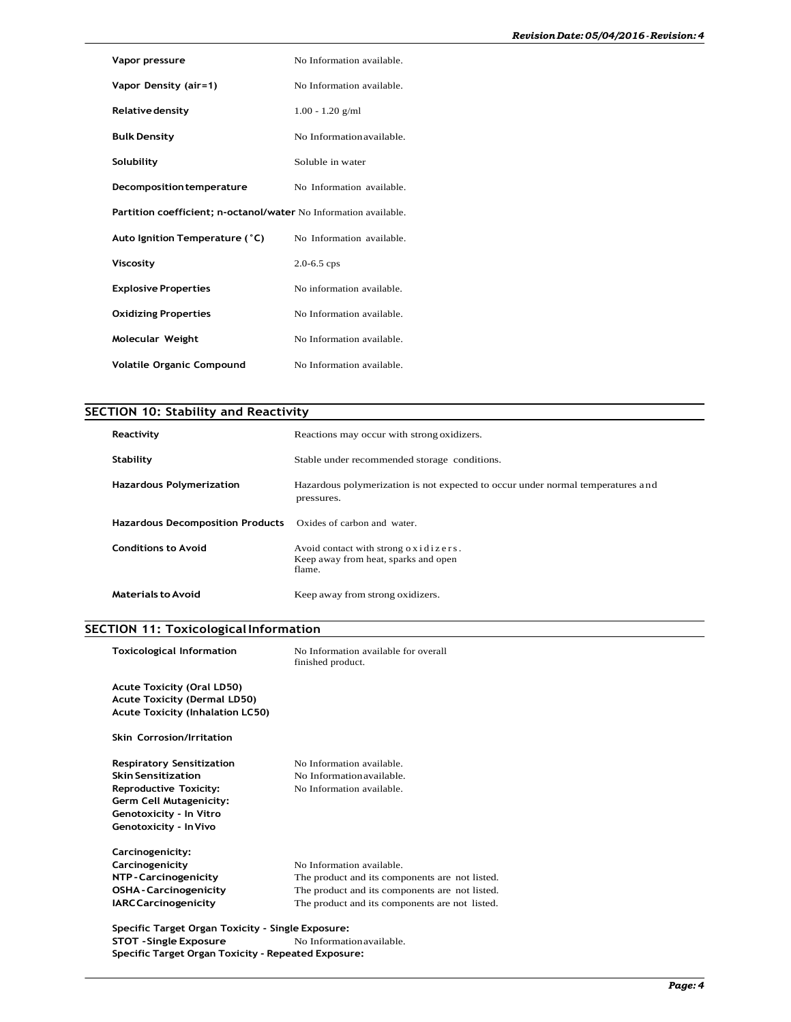| Vapor pressure                                                   | No Information available. |  |
|------------------------------------------------------------------|---------------------------|--|
| Vapor Density (air=1)                                            | No Information available. |  |
| Relative density                                                 | $1.00 - 1.20$ g/ml        |  |
| <b>Bulk Density</b>                                              | No Information available. |  |
| Solubility                                                       | Soluble in water          |  |
| Decomposition temperature                                        | No Information available. |  |
| Partition coefficient; n-octanol/water No Information available. |                           |  |
| Auto Ignition Temperature (°C)                                   | No Information available. |  |
| Viscosity                                                        | $2.0 - 6.5$ cps           |  |
| <b>Explosive Properties</b>                                      | No information available. |  |
| <b>Oxidizing Properties</b>                                      | No Information available. |  |
| Molecular Weight                                                 | No Information available. |  |
| <b>Volatile Organic Compound</b>                                 | No Information available. |  |

# **SECTION 10: Stability and Reactivity**

| Reactivity                              | Reactions may occur with strong oxidizers.                                                    |
|-----------------------------------------|-----------------------------------------------------------------------------------------------|
| Stability                               | Stable under recommended storage conditions.                                                  |
| <b>Hazardous Polymerization</b>         | Hazardous polymerization is not expected to occur under normal temperatures and<br>pressures. |
| <b>Hazardous Decomposition Products</b> | Oxides of carbon and water.                                                                   |
| Conditions to Avoid                     | Avoid contact with strong oxidizers.<br>Keep away from heat, sparks and open<br>flame.        |
| Materials to Avoid                      | Keep away from strong oxidizers.                                                              |

# **SECTION 11: Toxicological Information**

| <b>Toxicological Information</b>                                         | No Information available for overall<br>finished product. |  |
|--------------------------------------------------------------------------|-----------------------------------------------------------|--|
| <b>Acute Toxicity (Oral LD50)</b><br><b>Acute Toxicity (Dermal LD50)</b> |                                                           |  |
| <b>Acute Toxicity (Inhalation LC50)</b>                                  |                                                           |  |
| <b>Skin Corrosion/Irritation</b>                                         |                                                           |  |
| <b>Respiratory Sensitization</b>                                         | No Information available.                                 |  |
| <b>Skin Sensitization</b>                                                | No Information available.                                 |  |
| <b>Reproductive Toxicity:</b>                                            | No Information available.                                 |  |
| Germ Cell Mutagenicity:                                                  |                                                           |  |
| Genotoxicity - In Vitro                                                  |                                                           |  |
| Genotoxicity - In Vivo                                                   |                                                           |  |
| Carcinogenicity:                                                         |                                                           |  |
| Carcinogenicity                                                          | No Information available.                                 |  |
| NTP-Carcinogenicity                                                      | The product and its components are not listed.            |  |
| <b>OSHA - Carcinogenicity</b>                                            | The product and its components are not listed.            |  |
| <b>IARC Carcinogenicity</b>                                              | The product and its components are not listed.            |  |
| Specific Target Organ Toxicity - Single Exposure:                        |                                                           |  |
| <b>STOT - Single Exposure</b>                                            | No Information available.                                 |  |
| Specific Target Organ Toxicity - Repeated Exposure:                      |                                                           |  |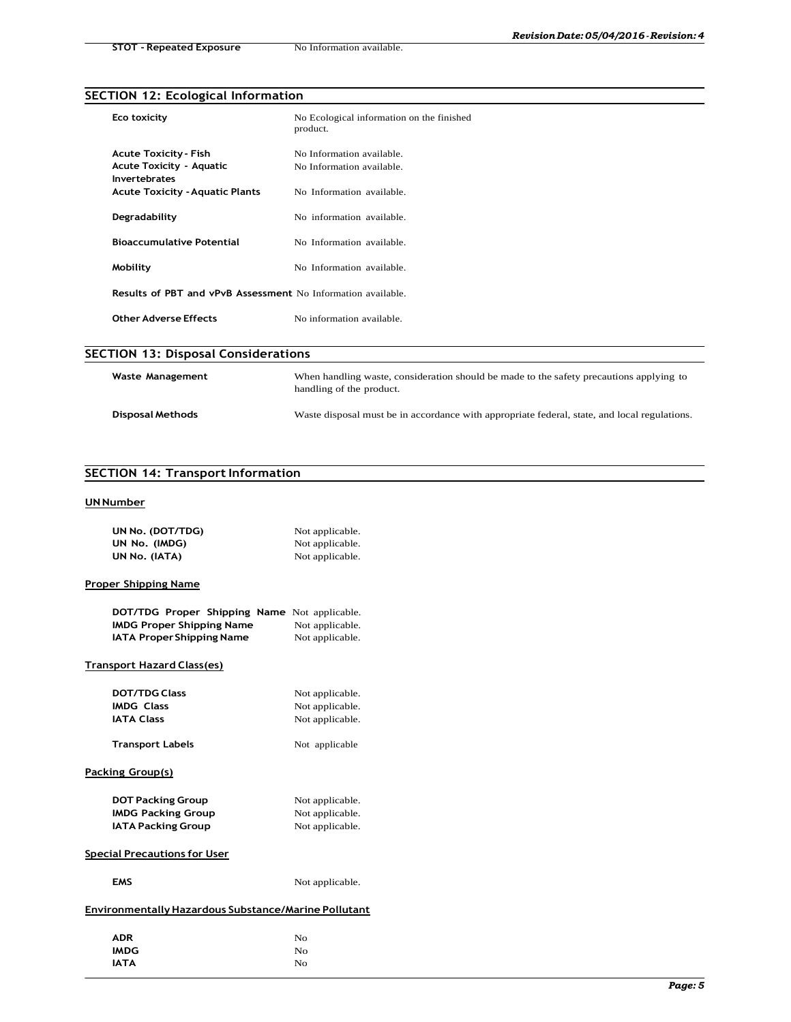# **SECTION 12: Ecological Information**

| Eco toxicity                                                        | No Ecological information on the finished<br>product. |  |  |
|---------------------------------------------------------------------|-------------------------------------------------------|--|--|
| <b>Acute Toxicity - Fish</b>                                        | No Information available.                             |  |  |
| <b>Acute Toxicity - Aquatic</b><br>Invertebrates                    | No Information available.                             |  |  |
| <b>Acute Toxicity - Aquatic Plants</b>                              | No Information available.                             |  |  |
| Degradability                                                       | No information available.                             |  |  |
| <b>Bioaccumulative Potential</b>                                    | No Information available.                             |  |  |
| Mobility                                                            | No Information available.                             |  |  |
| <b>Results of PBT and vPvB Assessment</b> No Information available. |                                                       |  |  |
| <b>Other Adverse Effects</b>                                        | No information available.                             |  |  |
|                                                                     | <b>SECTION 13: Disposal Considerations</b>            |  |  |

| Waste Management | When handling waste, consideration should be made to the safety precautions applying to<br>handling of the product. |
|------------------|---------------------------------------------------------------------------------------------------------------------|
| Disposal Methods | Waste disposal must be in accordance with appropriate federal, state, and local regulations.                        |

### **SECTION 14: Transport Information**

#### **UN Number**

| UN No. (DOT/TDG) | Not applicable. |
|------------------|-----------------|
| UN No. (IMDG)    | Not applicable. |
| UN No. (IATA)    | Not applicable. |

### **Proper Shipping Name**

| DOT/TDG Proper Shipping Name Not applicable. |                 |
|----------------------------------------------|-----------------|
| IMDG Proper Shipping Name                    | Not applicable. |
| IATA Proper Shipping Name                    | Not applicable. |

### **Transport Hazard Class(es)**

| <b>DOT/TDG Class</b>                                 | Not applicable. |
|------------------------------------------------------|-----------------|
| <b>IMDG Class</b>                                    | Not applicable. |
| <b>IATA Class</b>                                    | Not applicable. |
| Transport Labels                                     | Not applicable  |
| Packing Group(s)                                     |                 |
| <b>DOT Packing Group</b>                             | Not applicable. |
| <b>IMDG Packing Group</b>                            | Not applicable. |
| <b>IATA Packing Group</b>                            | Not applicable. |
| <b>Special Precautions for User</b>                  |                 |
| <b>EMS</b>                                           | Not applicable. |
| Environmentally Hazardous Substance/Marine Pollutant |                 |

| <b>ADR</b>  | No       |
|-------------|----------|
| <b>IMDG</b> | $\rm No$ |
| <b>IATA</b> | No       |